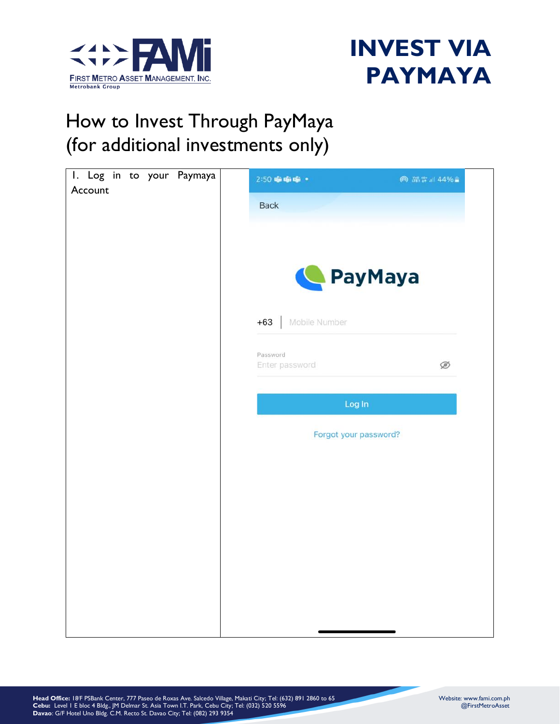



#### How to Invest Through PayMaya (for additional investments only)

| I. Log in to your Paymaya<br>Account | 2:50 喻喻喻。                  | ◎ 端背計44%■             |
|--------------------------------------|----------------------------|-----------------------|
|                                      | Back                       |                       |
|                                      |                            |                       |
|                                      |                            | PayMaya               |
|                                      | Mobile Number<br>$+63$     |                       |
|                                      | Password<br>Enter password | Ø                     |
|                                      |                            | Log In                |
|                                      |                            |                       |
|                                      |                            | Forgot your password? |
|                                      |                            |                       |
|                                      |                            |                       |
|                                      |                            |                       |
|                                      |                            |                       |
|                                      |                            |                       |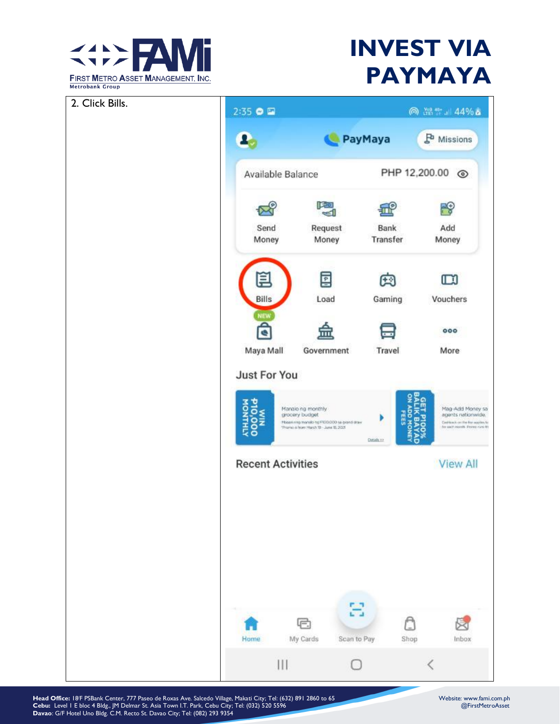

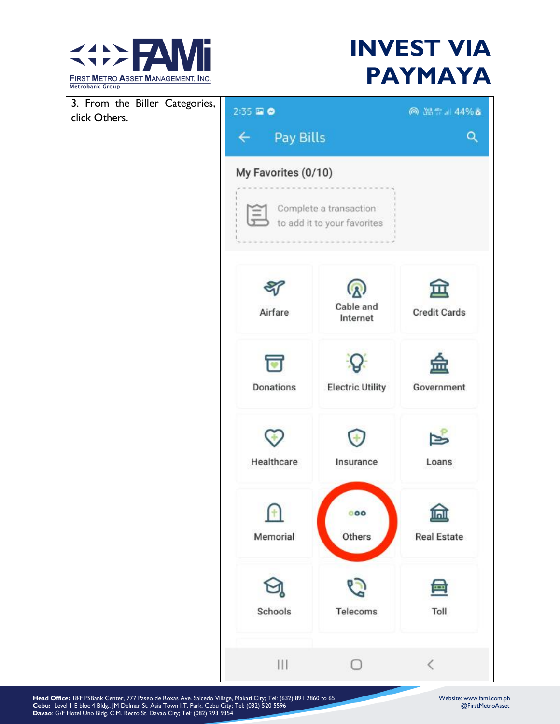

| 3. From the Biller Categories,<br>click Others. | $2:35 \t{20}$                     |                                                       | ◎ 溫雪 』 44% ▲        |
|-------------------------------------------------|-----------------------------------|-------------------------------------------------------|---------------------|
|                                                 | Pay Bills<br>$\leftarrow$         |                                                       | Q                   |
|                                                 | My Favorites (0/10)<br>Ξ          | Complete a transaction<br>to add it to your favorites |                     |
|                                                 | Airfare                           | Cable and<br>Internet                                 | <b>Credit Cards</b> |
|                                                 | $\overline{\bullet}$<br>Donations | <b>Electric Utility</b>                               | Government          |
|                                                 | Healthcare                        | Insurance                                             | Loans               |
|                                                 | Memorial                          | 000<br>Others                                         | <b>Real Estate</b>  |
|                                                 | Schools                           | Telecoms                                              | 南<br>Toll           |
|                                                 | Ш                                 |                                                       |                     |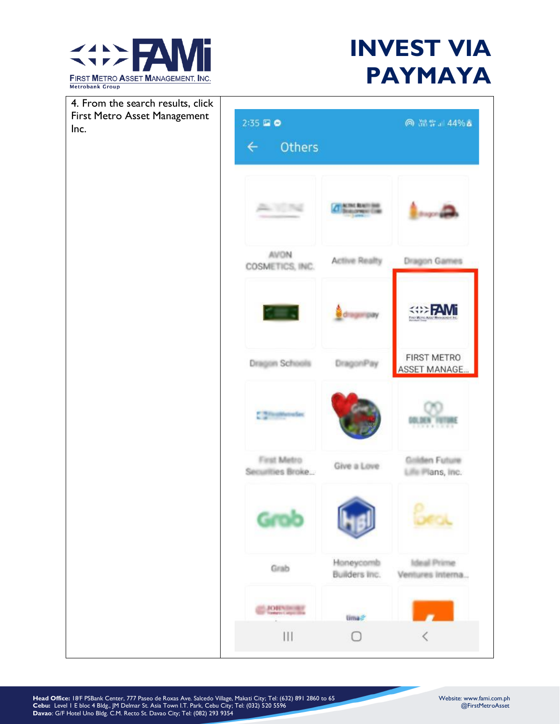

Inc.

## **INVEST VIA PAYMAYA**

4. From the search results, click First Metro Asset Management 2:35 国 章 ◎ 溫雲』44%▲ Others  $\overline{\leftarrow}$ **CONT REALT** AL YENG **AVON Active Realty** Dragon Games COSMETICS, INC. **EXAMPLE** drager pay Finit Mons **FIRST METRO Dragon Schools** DragonPay ASSET MANAGE. <sup>\*</sup> STeathereSec DOL DE N First Metro Grilden Future Give a Love Securities Broke... Life Plans, Inc. Grob Honeycomb **Ideal Prime** Grab Builders Inc. Ventures Interna... **JORNINGER** tima? Ш O L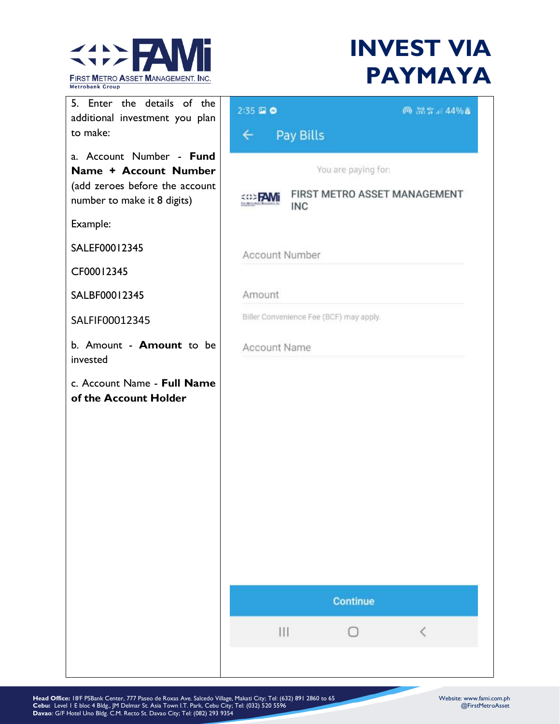

| 5. Enter the details of the<br>additional investment you plan                                                      | 2:35 国 0       |                                         | ◎ 溫雲 』 44% ▲                 |
|--------------------------------------------------------------------------------------------------------------------|----------------|-----------------------------------------|------------------------------|
| to make:                                                                                                           | $\leftarrow$   | Pay Bills                               |                              |
| a. Account Number - Fund<br>Name + Account Number<br>(add zeroes before the account<br>number to make it 8 digits) |                | You are paying for:<br>INC              | FIRST METRO ASSET MANAGEMENT |
| Example:                                                                                                           |                |                                         |                              |
| SALEF00012345                                                                                                      | Account Number |                                         |                              |
| CF00012345                                                                                                         |                |                                         |                              |
| SALBF00012345                                                                                                      | Amount         |                                         |                              |
| SALFIF00012345                                                                                                     |                | Biller Convenience Fee (BCF) may apply. |                              |
| b. Amount - <b>Amount</b> to be<br>invested                                                                        | Account Name   |                                         |                              |
| c. Account Name - Full Name<br>of the Account Holder                                                               |                | <b>Continue</b>                         |                              |
|                                                                                                                    | $\mathbf{III}$ | Ω                                       | $\langle$                    |
|                                                                                                                    |                |                                         |                              |
|                                                                                                                    |                |                                         |                              |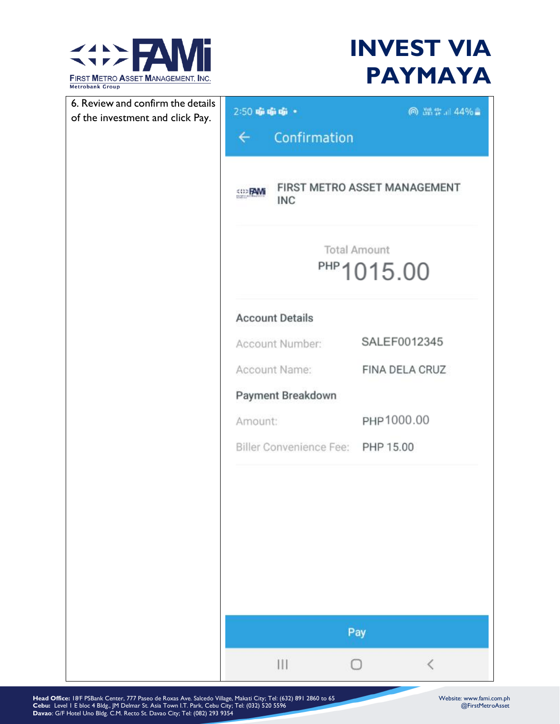

| 6. Review and confirm the details | 2:50 நி நி நி •                   | ◎ 器算 144%■                        |
|-----------------------------------|-----------------------------------|-----------------------------------|
| of the investment and click Pay.  | Confirmation<br>$\leftarrow$      |                                   |
|                                   |                                   |                                   |
|                                   | <<>FAMi<br><b>INC</b>             | FIRST METRO ASSET MANAGEMENT      |
|                                   |                                   | <b>Total Amount</b><br>PHP1015.00 |
|                                   | <b>Account Details</b>            |                                   |
|                                   | Account Number:                   | SALEF0012345                      |
|                                   | Account Name:                     | FINA DELA CRUZ                    |
|                                   | Payment Breakdown                 |                                   |
|                                   | Amount:                           | PHP1000.00                        |
|                                   | Biller Convenience Fee: PHP 15.00 |                                   |
|                                   |                                   | Pay                               |
|                                   | Ш                                 | €<br>n                            |
|                                   |                                   |                                   |